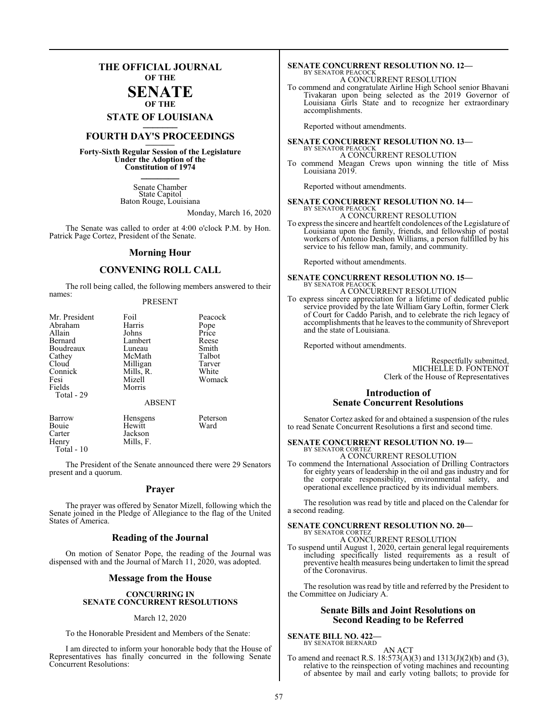### **THE OFFICIAL JOURNAL OF THE**

### **SENATE OF THE**

**STATE OF LOUISIANA \_\_\_\_\_\_\_**

### **FOURTH DAY'S PROCEEDINGS \_\_\_\_\_\_\_**

**Forty-Sixth Regular Session of the Legislature Under the Adoption of the Constitution of 1974 \_\_\_\_\_\_\_**

> Senate Chamber State Capitol Baton Rouge, Louisiana

> > Monday, March 16, 2020

The Senate was called to order at 4:00 o'clock P.M. by Hon. Patrick Page Cortez, President of the Senate.

### **Morning Hour**

### **CONVENING ROLL CALL**

The roll being called, the following members answered to their names:

### PRESENT

Carter Jackson<br>Henry Mills, F. Mills, F. Total - 10

The President of the Senate announced there were 29 Senators present and a quorum.

### **Prayer**

The prayer was offered by Senator Mizell, following which the Senate joined in the Pledge of Allegiance to the flag of the United States of America.

### **Reading of the Journal**

On motion of Senator Pope, the reading of the Journal was dispensed with and the Journal of March 11, 2020, was adopted.

### **Message from the House**

### **CONCURRING IN SENATE CONCURRENT RESOLUTIONS**

### March 12, 2020

To the Honorable President and Members of the Senate:

I am directed to inform your honorable body that the House of Representatives has finally concurred in the following Senate Concurrent Resolutions:

### **SENATE CONCURRENT RESOLUTION NO. 12—** BY SENATOR PEACOCK

A CONCURRENT RESOLUTION

To commend and congratulate Airline High School senior Bhavani Tivakaran upon being selected as the 2019 Governor of Louisiana Girls State and to recognize her extraordinary accomplishments.

Reported without amendments.

#### **SENATE CONCURRENT RESOLUTION NO. 13—** BY SENATOR PEACOCK A CONCURRENT RESOLUTION

To commend Meagan Crews upon winning the title of Miss Louisiana 2019.

Reported without amendments.

### **SENATE CONCURRENT RESOLUTION NO. 14—** BY SENATOR PEACOCK

A CONCURRENT RESOLUTION

To express the sincere and heartfelt condolences of the Legislature of Louisiana upon the family, friends, and fellowship of postal workers of Antonio Deshon Williams, a person fulfilled by his service to his fellow man, family, and community.

Reported without amendments.

### **SENATE CONCURRENT RESOLUTION NO. 15—** BY SENATOR PEACOCK A CONCURRENT RESOLUTION

To express sincere appreciation for a lifetime of dedicated public service provided by the late William Gary Loftin, former Clerk of Court for Caddo Parish, and to celebrate the rich legacy of accomplishments that he leaves to the community of Shreveport and the state of Louisiana.

Reported without amendments.

Respectfully submitted, MICHELLE D. FONTENOT Clerk of the House of Representatives

### **Introduction of Senate Concurrent Resolutions**

Senator Cortez asked for and obtained a suspension of the rules to read Senate Concurrent Resolutions a first and second time.

### **SENATE CONCURRENT RESOLUTION NO. 19—**

BY SENATOR CORTEZ A CONCURRENT RESOLUTION

To commend the International Association of Drilling Contractors for eighty years of leadership in the oil and gas industry and for the corporate responsibility, environmental safety, and operational excellence practiced by its individual members.

The resolution was read by title and placed on the Calendar for a second reading.

### **SENATE CONCURRENT RESOLUTION NO. 20—** BY SENATOR CORTEZ A CONCURRENT RESOLUTION

To suspend until August 1, 2020, certain general legal requirements including specifically listed requirements as a result of preventive health measures being undertaken to limit the spread of the Coronavirus.

The resolution was read by title and referred by the President to the Committee on Judiciary A.

### **Senate Bills and Joint Resolutions on Second Reading to be Referred**

### **SENATE BILL NO. 422—**

BY SENATOR BERNARD AN ACT

To amend and reenact R.S. 18:573(A)(3) and 1313(J)(2)(b) and (3), relative to the reinspection of voting machines and recounting of absentee by mail and early voting ballots; to provide for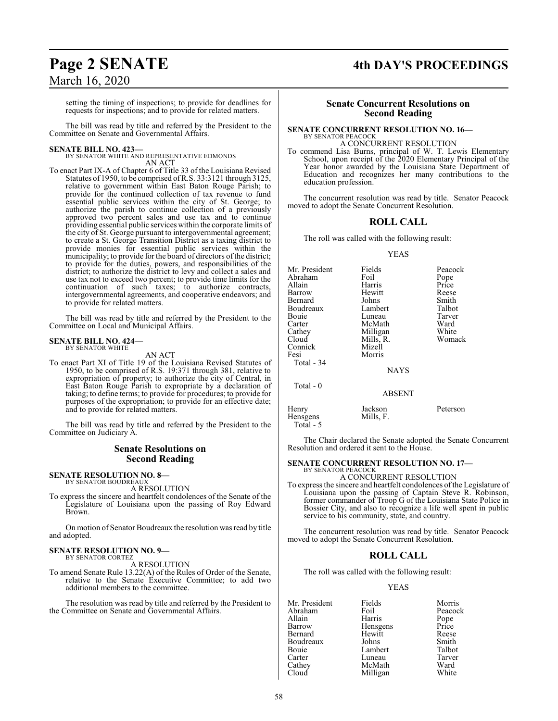### **Page 2 SENATE 4th DAY'S PROCEEDINGS**

setting the timing of inspections; to provide for deadlines for requests for inspections; and to provide for related matters.

The bill was read by title and referred by the President to the Committee on Senate and Governmental Affairs.

**SENATE BILL NO. 423—** BY SENATOR WHITE AND REPRESENTATIVE EDMONDS AN ACT

To enact Part IX-A of Chapter 6 of Title 33 of the Louisiana Revised Statutes of 1950, to be comprised ofR.S. 33:3121 through 3125, relative to government within East Baton Rouge Parish; to provide for the continued collection of tax revenue to fund essential public services within the city of St. George; to authorize the parish to continue collection of a previously approved two percent sales and use tax and to continue providing essential public services within the corporate limits of the city of St. George pursuant to intergovernmental agreement; to create a St. George Transition District as a taxing district to provide monies for essential public services within the municipality; to provide for the board of directors ofthe district; to provide for the duties, powers, and responsibilities of the district; to authorize the district to levy and collect a sales and use tax not to exceed two percent; to provide time limits for the continuation of such taxes; to authorize contracts, intergovernmental agreements, and cooperative endeavors; and to provide for related matters.

The bill was read by title and referred by the President to the Committee on Local and Municipal Affairs.

#### **SENATE BILL NO. 424—** BY SENATOR WHITE

AN ACT

To enact Part XI of Title 19 of the Louisiana Revised Statutes of 1950, to be comprised of R.S. 19:371 through 381, relative to expropriation of property; to authorize the city of Central, in East Baton Rouge Parish to expropriate by a declaration of taking; to define terms; to provide for procedures; to provide for purposes of the expropriation; to provide for an effective date; and to provide for related matters.

The bill was read by title and referred by the President to the Committee on Judiciary A.

### **Senate Resolutions on Second Reading**

#### **SENATE RESOLUTION NO. 8—** BY SENATOR BOUDREAUX

A RESOLUTION

To express the sincere and heartfelt condolences of the Senate of the Legislature of Louisiana upon the passing of Roy Edward Brown.

On motion of Senator Boudreaux the resolution was read by title and adopted.

#### **SENATE RESOLUTION NO. 9—** BY SENATOR CORTEZ

A RESOLUTION

To amend Senate Rule 13.22(A) of the Rules of Order of the Senate, relative to the Senate Executive Committee; to add two additional members to the committee.

The resolution was read by title and referred by the President to the Committee on Senate and Governmental Affairs.

### **Senate Concurrent Resolutions on Second Reading**

### **SENATE CONCURRENT RESOLUTION NO. 16—** BY SENATOR PEACOCK

A CONCURRENT RESOLUTION

To commend Lisa Burns, principal of W. T. Lewis Elementary School, upon receipt of the 2020 Elementary Principal of the Year honor awarded by the Louisiana State Department of Education and recognizes her many contributions to the education profession.

The concurrent resolution was read by title. Senator Peacock moved to adopt the Senate Concurrent Resolution.

### **ROLL CALL**

The roll was called with the following result:

### YEAS

| Mr. President<br>Abraham<br>Allain<br>Barrow<br>Bernard<br>Boudreaux<br>Bouie<br>Carter<br>Cathey<br>Cloud<br>Connick | Fields<br>Foil<br>Harris<br>Hewitt<br>Johns<br>Lambert<br>Luneau<br>McMath<br>Milligan<br>Mills, R.<br>Mizell | Peacock<br>Pope<br>Price<br>Reese<br>Smith<br>Talbot<br>Tarver<br>Ward<br>White<br>Womack |
|-----------------------------------------------------------------------------------------------------------------------|---------------------------------------------------------------------------------------------------------------|-------------------------------------------------------------------------------------------|
| Fesi<br>Total - 34<br>Total $-0$                                                                                      | Morris<br><b>NAYS</b>                                                                                         |                                                                                           |
|                                                                                                                       | <b>ABSENT</b>                                                                                                 |                                                                                           |
| Henry                                                                                                                 | Jackson                                                                                                       | Peterson                                                                                  |

The Chair declared the Senate adopted the Senate Concurrent Resolution and ordered it sent to the House.

### **SENATE CONCURRENT RESOLUTION NO. 17—** BY SENATOR PEACOCK

A CONCURRENT RESOLUTION

Hensgens Mills, F.

Total - 5

To express the sincere and heartfelt condolences ofthe Legislature of Louisiana upon the passing of Captain Steve R. Robinson, former commander of Troop G of the Louisiana State Police in Bossier City, and also to recognize a life well spent in public service to his community, state, and country.

The concurrent resolution was read by title. Senator Peacock moved to adopt the Senate Concurrent Resolution.

### **ROLL CALL**

The roll was called with the following result:

### YEAS

Mr. President Fields Morris<br>Abraham Foil Peacock Abraham Foil Peacock Allain Harris Pope Barrow Hensgens Price<br>Bernard Hewitt Reese Hewitt Reese<br>Johns Smith Boudreaux Johns Smith Bouie Lambert Talbot<br>Carter Luneau Tarver Carter Luneau Tarve<br>Cathey McMath Ward Cathey McMath Ward<br>Cloud Milligan White Milligan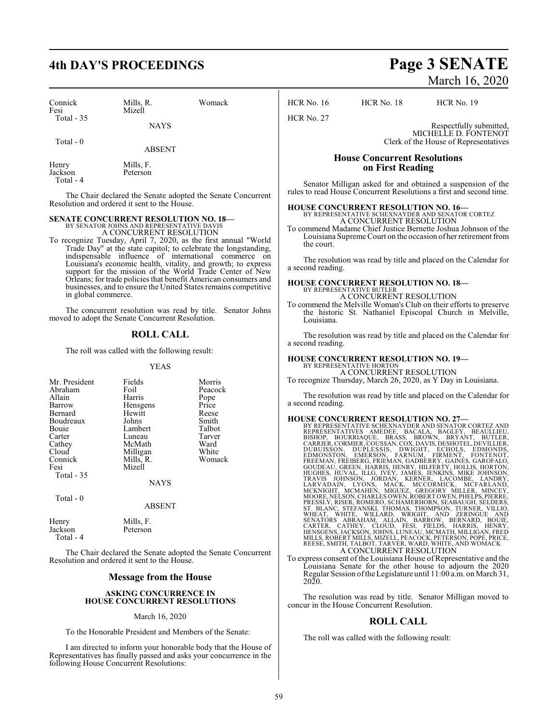## **4th DAY'S PROCEEDINGS Page 3 SENATE**

| Connick<br>Fesi<br>Total $-35$ | Mills, R.<br>Mizell | Womack |
|--------------------------------|---------------------|--------|
|                                | <b>NAYS</b>         |        |
| Total $-0$                     | <b>ABSENT</b>       |        |
| Henry                          | Mills, F.           |        |

Jackson Peterson Total - 4

The Chair declared the Senate adopted the Senate Concurrent Resolution and ordered it sent to the House.

# **SENATE CONCURRENT RESOLUTION NO. 18—**<br>BY SENATOR JOHNS AND REPRESENTATIVE DAVIS<br>A CONCURRENT RESOLUTION

To recognize Tuesday, April 7, 2020, as the first annual "World Trade Day" at the state capitol; to celebrate the longstanding, indispensable influence of international commerce on Louisiana's economic health, vitality, and growth; to express support for the mission of the World Trade Center of New Orleans; for trade policies that benefit American consumers and businesses, and to ensure the United States remains competitive in global commerce.

The concurrent resolution was read by title. Senator Johns moved to adopt the Senate Concurrent Resolution.

### **ROLL CALL**

The roll was called with the following result:

### YEAS

| Mr. President<br>Abraham<br>Allain<br>Barrow<br>Bernard<br>Boudreaux<br><b>Bouje</b><br>Carter<br>Cathey<br>Cloud<br>Connick<br>Fesi<br>Total - 35 | Fields<br>Foil<br>Harris<br>Hensgens<br>Hewitt<br>Johns<br>Lambert<br>Luneau<br>McMath<br>Milligan<br>Mills, R.<br>Mizell<br><b>NAYS</b> | Morris<br>Peacock<br>Pope<br>Price<br>Reese<br>Smith<br>Talbot<br>Tarver<br>Ward<br>White<br>Womack |
|----------------------------------------------------------------------------------------------------------------------------------------------------|------------------------------------------------------------------------------------------------------------------------------------------|-----------------------------------------------------------------------------------------------------|
| Total - 0                                                                                                                                          | <b>ABSENT</b>                                                                                                                            |                                                                                                     |

| Henry     | Mills, F. |
|-----------|-----------|
| Jackson   | Peterson  |
| Total - 4 |           |

The Chair declared the Senate adopted the Senate Concurrent Resolution and ordered it sent to the House.

### **Message from the House**

### **ASKING CONCURRENCE IN HOUSE CONCURRENT RESOLUTIONS**

### March 16, 2020

To the Honorable President and Members of the Senate:

I am directed to inform your honorable body that the House of Representatives has finally passed and asks your concurrence in the following House Concurrent Resolutions:

# March 16, 2020

HCR No. 16 HCR No. 18 HCR No. 19

HCR No. 27

Respectfully submitted,

MICHELLE D. FONTENOT Clerk of the House of Representatives

### **House Concurrent Resolutions on First Reading**

Senator Milligan asked for and obtained a suspension of the rules to read House Concurrent Resolutions a first and second time.

## **HOUSE CONCURRENT RESOLUTION NO. 16—** BY REPRESENTATIVE SCHEXNAYDER AND SENATOR CORTEZ

A CONCURRENT RESOLUTION

To commend Madame Chief Justice Bernette Joshua Johnson of the Louisiana SupremeCourt on the occasion of her retirement from the court.

The resolution was read by title and placed on the Calendar for a second reading.

### **HOUSE CONCURRENT RESOLUTION NO. 18—** BY REPRESENTATIVE BUTLER

A CONCURRENT RESOLUTION To commend the Melville Woman's Club on their efforts to preserve the historic St. Nathaniel Episcopal Church in Melville, Louisiana.

The resolution was read by title and placed on the Calendar for a second reading.

### **HOUSE CONCURRENT RESOLUTION NO. 19—** BY REPRESENTATIVE HORTON

A CONCURRENT RESOLUTION

To recognize Thursday, March 26, 2020, as Y Day in Louisiana.

The resolution was read by title and placed on the Calendar for a second reading.

HOUSE CONCURRENT RESOLUTION NO. 27—<br>
BY REPRESENTATIVES CHEXNAYDER AND SENATOR CORTEZ AND<br>
REPRESENTATIVES AMEDEE, BACALA, BAGLEY, BEAULLIEU,<br>
BISHOP, BOURRIAQUE, BRASS, BROWN, BRYANT, BUTLER,<br>
CARRIER, CORMIER, COUSSAN, C WHEAT, WHITE, WILLARD, WRIGHT, AND ZERINGUE AND<br>SENATORS ABRAHAM, ALLAIN, BARROW, BERNARD, BOUIE,<br>CARTER, CATHEY, CLOUD, FESI, FIELDS, HARRIS, HENRY,<br>HENSGENS,JACKSON,JOHNS,LUNEAU,MCMATH,MILLIGAN,FRED<br>MILLS,ROBERT MILLS,MI

To express consent of the Louisiana House of Representative and the Louisiana Senate for the other house to adjourn the 2020 Regular Session ofthe Legislature until 11:00 a.m. on March 31, 2020.

The resolution was read by title. Senator Milligan moved to concur in the House Concurrent Resolution.

### **ROLL CALL**

The roll was called with the following result: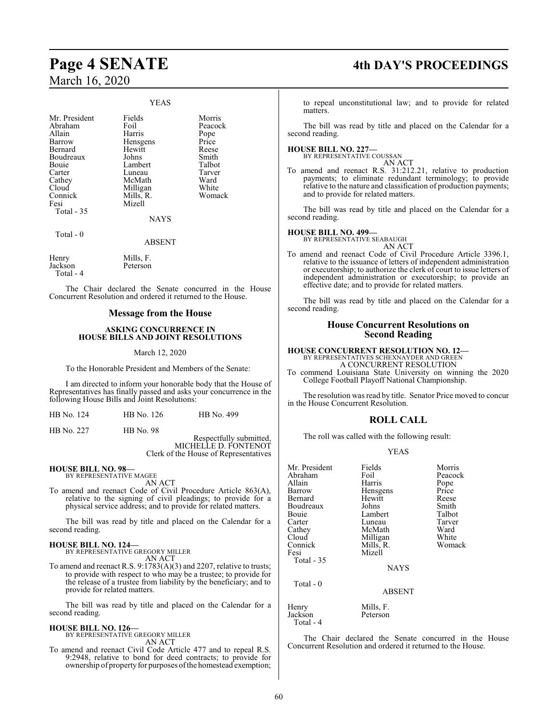### YEAS

Mr. President Fields Morris<br>Abraham Foil Peacock Abraham Foil Peacc<br>Allain Harris Pope Allain Harris Pope **Bernard** Boudreaux Johns Smith<br>Bouie Lambert Talbot Bouie Lambert Talbot<br>Carter Luneau Tarver Carter Luneau Tarver<br>Cathey McMath Ward Cathey McMath Ward<br>Cloud Milligan White Cloud Milligan White<br>
Connick Mills, R. Womack Connick Mills, R.<br>Fesi Mizell Total - 35

Hensgens Price<br>Hewitt Reese

**NAYS** 

Total - 0

ABSENT

Henry Mills, F.<br>Jackson Peterson Jackson Total - 4

Mizell

The Chair declared the Senate concurred in the House Concurrent Resolution and ordered it returned to the House.

### **Message from the House**

### **ASKING CONCURRENCE IN HOUSE BILLS AND JOINT RESOLUTIONS**

### March 12, 2020

To the Honorable President and Members of the Senate:

I am directed to inform your honorable body that the House of Representatives has finally passed and asks your concurrence in the following House Bills and Joint Resolutions:

|  | HB No. 124 | HB No. 126 | HB No. 499 |
|--|------------|------------|------------|
|--|------------|------------|------------|

HB No. 227 HB No. 98

Respectfully submitted, MICHELLE D. FONTENOT Clerk of the House of Representatives

#### **HOUSE BILL NO. 98—** BY REPRESENTATIVE MAGEE

AN ACT

To amend and reenact Code of Civil Procedure Article 863(A), relative to the signing of civil pleadings; to provide for a physical service address; and to provide for related matters.

The bill was read by title and placed on the Calendar for a second reading.

### **HOUSE BILL NO. 124—**

BY REPRESENTATIVE GREGORY MILLER AN ACT

To amend and reenact R.S. 9:1783(A)(3) and 2207, relative to trusts; to provide with respect to who may be a trustee; to provide for the release of a trustee from liability by the beneficiary; and to provide for related matters.

The bill was read by title and placed on the Calendar for a second reading.

## **HOUSE BILL NO. 126—** BY REPRESENTATIVE GREGORY MILLER

AN ACT

To amend and reenact Civil Code Article 477 and to repeal R.S. 9:2948, relative to bond for deed contracts; to provide for ownership of property for purposes of the homestead exemption;

## **Page 4 SENATE 4th DAY'S PROCEEDINGS**

to repeal unconstitutional law; and to provide for related matters.

The bill was read by title and placed on the Calendar for a second reading.

### **HOUSE BILL NO. 227—** BY REPRESENTATIVE COUSSAN

AN ACT

To amend and reenact R.S. 31:212.21, relative to production payments; to eliminate redundant terminology; to provide relative to the nature and classification of production payments; and to provide for related matters.

The bill was read by title and placed on the Calendar for a second reading.

### **HOUSE BILL NO. 499—**

BY REPRESENTATIVE SEABAUGH AN ACT

To amend and reenact Code of Civil Procedure Article 3396.1, relative to the issuance of letters of independent administration or executorship; to authorize the clerk of court to issue letters of independent administration or executorship; to provide an effective date; and to provide for related matters.

The bill was read by title and placed on the Calendar for a second reading.

### **House Concurrent Resolutions on Second Reading**

### **HOUSE CONCURRENT RESOLUTION NO. 12—**

BY REPRESENTATIVES SCHEXNAYDER AND GREEN A CONCURRENT RESOLUTION

To commend Louisiana State University on winning the 2020 College Football Playoff National Championship.

The resolution was read by title. Senator Price moved to concur in the House Concurrent Resolution.

### **ROLL CALL**

The roll was called with the following result:

### YEAS

| Mr. President | Fields        | Morris  |
|---------------|---------------|---------|
| Abraham       | Foil          | Peacock |
| Allain        | Harris        | Pope    |
| Barrow        | Hensgens      | Price   |
| Bernard       | Hewitt        | Reese   |
| Boudreaux     | Johns         | Smith   |
| Bouie         | Lambert       | Talbot  |
| Carter        | Luneau        | Tarver  |
| Cathey        | McMath        | Ward    |
| Cloud         | Milligan      | White   |
| Connick       | Mills, R.     | Womack  |
| Fesi          | Mizell        |         |
| Total $-35$   |               |         |
|               | <b>NAYS</b>   |         |
| Total - 0     |               |         |
|               | <b>ABSENT</b> |         |
|               |               |         |

Henry Mills, F.<br>Jackson Peterson Jackson Total - 4

The Chair declared the Senate concurred in the House Concurrent Resolution and ordered it returned to the House.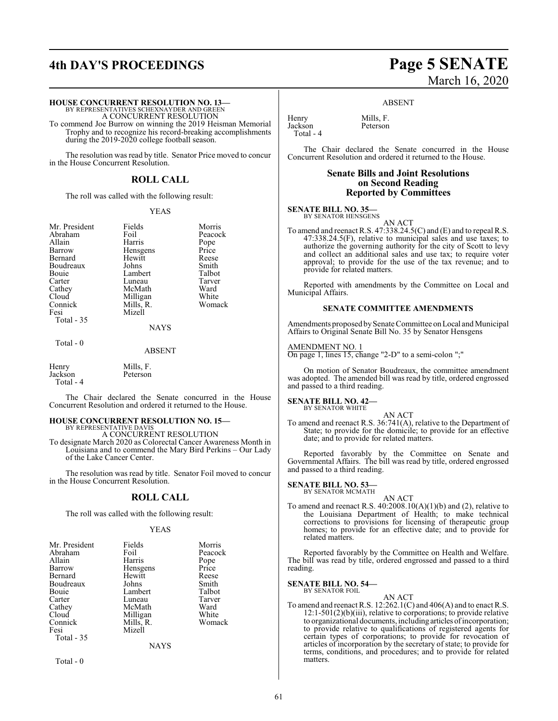## **4th DAY'S PROCEEDINGS Page 5 SENATE**

### **HOUSE CONCURRENT RESOLUTION NO. 13—**

BY REPRESENTATIVES SCHEXNAYDER AND GREEN A CONCURRENT RESOLUTION

To commend Joe Burrow on winning the 2019 Heisman Memorial Trophy and to recognize his record-breaking accomplishments during the 2019-2020 college football season.

The resolution was read by title. Senator Price moved to concur in the House Concurrent Resolution.

### **ROLL CALL**

The roll was called with the following result:

### YEAS

Mr. President Fields Morris Abraham Foil Peacock<br>Allain Harris Pope Allain Harris Pope Barrow Hensgens Price Bernard Hewitt Reese<br>Boudreaux Johns Smith Boudreaux Johns Smith<br>Bouie Lambert Talbot Bouie Lambert Talbot<br>Carter Luneau Tarver Carter Luneau Tarver<br>Cathey McMath Ward Cathey McMath Ward<br>Cloud Milligan White Cloud Milligan White<br>
Connick Mills, R. Womack Connick Mills, R.<br>Fesi Mizell

Mizell

NAYS

### Total - 0

Total - 35

ABSENT

Henry Mills, F.<br>Jackson Peterson Peterson Total - 4

The Chair declared the Senate concurred in the House Concurrent Resolution and ordered it returned to the House.

#### **HOUSE CONCURRENT RESOLUTION NO. 15—** BY REPRESENTATIVE DAVIS

A CONCURRENT RESOLUTION

To designate March 2020 as Colorectal Cancer Awareness Month in Louisiana and to commend the Mary Bird Perkins – Our Lady of the Lake Cancer Center.

The resolution was read by title. Senator Foil moved to concur in the House Concurrent Resolution.

### **ROLL CALL**

The roll was called with the following result:

### YEAS

| Mr. President<br>Abraham<br>Allain<br>Barrow<br>Bernard<br>Boudreaux<br>Bouie<br>Carter<br>Cathey<br>Cloud | Fields<br>Foil<br>Harris<br>Hensgens<br>Hewitt<br>Johns<br>Lambert<br>Luneau<br>McMath<br>Milligan | Morris<br>Peacock<br>Pope<br>Price<br>Reese<br>Smith<br>Talbot<br>Tarver<br>Ward<br>White |
|------------------------------------------------------------------------------------------------------------|----------------------------------------------------------------------------------------------------|-------------------------------------------------------------------------------------------|
|                                                                                                            |                                                                                                    |                                                                                           |
| Connick                                                                                                    | Mills, R.                                                                                          | Womack                                                                                    |
| Fesi<br>Total - 35                                                                                         | Mizell                                                                                             |                                                                                           |
|                                                                                                            | NAYS                                                                                               |                                                                                           |

Total - 0

# March 16, 2020

### ABSENT

Henry Mills, F.<br>Jackson Peterson Jackson Total - 4

The Chair declared the Senate concurred in the House Concurrent Resolution and ordered it returned to the House.

### **Senate Bills and Joint Resolutions on Second Reading Reported by Committees**

### **SENATE BILL NO. 35—** BY SENATOR HENSGENS

AN ACT

To amend and reenact R.S. 47:338.24.5(C) and (E) and to repeal R.S. 47:338.24.5(F), relative to municipal sales and use taxes; to authorize the governing authority for the city of Scott to levy and collect an additional sales and use tax; to require voter approval; to provide for the use of the tax revenue; and to provide for related matters.

Reported with amendments by the Committee on Local and Municipal Affairs.

### **SENATE COMMITTEE AMENDMENTS**

Amendments proposed by Senate Committee on Local and Municipal Affairs to Original Senate Bill No. 35 by Senator Hensgens

### AMENDMENT NO. 1

On page 1, lines 15, change "2-D" to a semi-colon ";"

On motion of Senator Boudreaux, the committee amendment was adopted. The amended bill was read by title, ordered engrossed and passed to a third reading.

#### **SENATE BILL NO. 42—** BY SENATOR WHITE

AN ACT To amend and reenact R.S. 36:741(A), relative to the Department of State; to provide for the domicile; to provide for an effective date; and to provide for related matters.

Reported favorably by the Committee on Senate and Governmental Affairs. The bill was read by title, ordered engrossed and passed to a third reading.

#### **SENATE BILL NO. 53—** BY SENATOR MCMATH

AN ACT To amend and reenact R.S. 40:2008.10(A)(1)(b) and (2), relative to the Louisiana Department of Health; to make technical corrections to provisions for licensing of therapeutic group homes; to provide for an effective date; and to provide for related matters.

Reported favorably by the Committee on Health and Welfare. The bill was read by title, ordered engrossed and passed to a third reading.

### **SENATE BILL NO. 54—**

BY SENATOR FOIL

AN ACT To amend and reenact R.S. 12:262.1(C) and 406(A) and to enact R.S. 12:1-501(2)(b)(iii), relative to corporations; to provide relative to organizational documents, including articles of incorporation; to provide relative to qualifications of registered agents for certain types of corporations; to provide for revocation of articles of incorporation by the secretary of state; to provide for terms, conditions, and procedures; and to provide for related matters.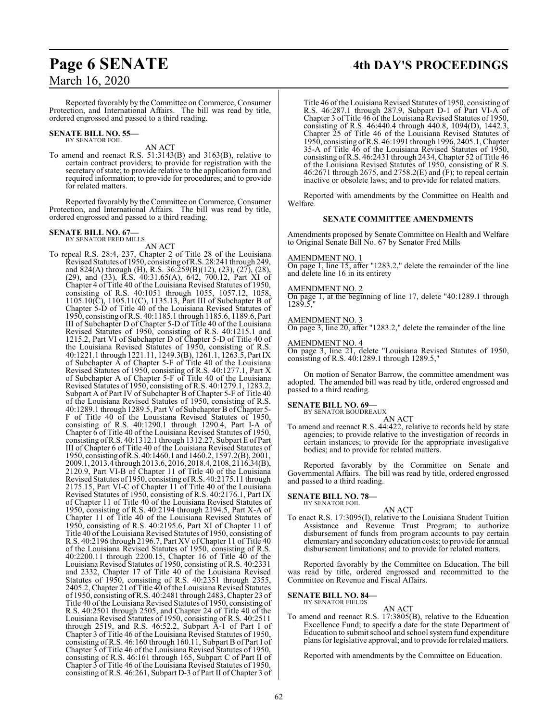### Reported favorably by theCommittee on Commerce, Consumer Protection, and International Affairs. The bill was read by title, ordered engrossed and passed to a third reading.

### **SENATE BILL NO. 55—** BY SENATOR FOIL

AN ACT

To amend and reenact R.S. 51:3143(B) and 3163(B), relative to certain contract providers; to provide for registration with the secretary of state; to provide relative to the application form and required information; to provide for procedures; and to provide for related matters.

Reported favorably by the Committee on Commerce, Consumer Protection, and International Affairs. The bill was read by title, ordered engrossed and passed to a third reading.

### **SENATE BILL NO. 67—** BY SENATOR FRED MILLS

AN ACT

To repeal R.S. 28:4, 237, Chapter 2 of Title 28 of the Louisiana Revised Statutes of1950, consisting ofR.S. 28:241 through 249, and 824(A) through (H), R.S. 36:259(B)(12), (23), (27), (28), (29), and (33), R.S. 40:31.65(A), 642, 700.12, Part XI of Chapter 4 of Title 40 of the Louisiana Revised Statutes of 1950, consisting of R.S. 40:1051 through 1055, 1057.12, 1058, 1105.10(C), 1105.11(C), 1135.13, Part III of Subchapter B of Chapter 5-D of Title 40 of the Louisiana Revised Statutes of 1950, consisting ofR.S. 40:1185.1 through 1185.6, 1189.6, Part III of Subchapter D of Chapter 5-D of Title 40 of the Louisiana Revised Statutes of 1950, consisting of R.S. 40:1215.1 and 1215.2, Part VI of Subchapter D of Chapter 5-D of Title 40 of the Louisiana Revised Statutes of 1950, consisting of R.S. 40:1221.1 through 1221.11, 1249.3(B), 1261.1, 1263.5, Part IX of Subchapter  $\overrightarrow{A}$  of Chapter 5-F of Title 40 of the Louisiana Revised Statutes of 1950, consisting of R.S. 40:1277.1, Part X of Subchapter A of Chapter 5-F of Title 40 of the Louisiana Revised Statutes of 1950, consisting of R.S. 40:1279.1, 1283.2, Subpart A of Part IV of Subchapter B of Chapter 5-F of Title 40 of the Louisiana Revised Statutes of 1950, consisting of R.S. 40:1289.1 through 1289.5, Part V of Subchapter B ofChapter 5- F of Title 40 of the Louisiana Revised Statutes of 1950, consisting of R.S. 40:1290.1 through 1290.4, Part I-A of Chapter 6 of Title 40 of the Louisiana Revised Statutes of 1950, consisting ofR.S. 40:1312.1 through 1312.27, Subpart E of Part III of Chapter 6 of Title 40 of the Louisiana Revised Statutes of 1950, consisting ofR.S. 40:1460.1 and 1460.2, 1597.2(B), 2001, 2009.1, 2013.4 through 2013.6, 2016, 2018.4, 2108, 2116.34(B), 2120.9, Part VI-B of Chapter 11 of Title 40 of the Louisiana Revised Statutes of 1950, consisting ofR.S. 40:2175.11 through 2175.15, Part VI-C of Chapter 11 of Title 40 of the Louisiana Revised Statutes of 1950, consisting of R.S. 40:2176.1, Part IX of Chapter 11 of Title 40 of the Louisiana Revised Statutes of 1950, consisting of R.S. 40:2194 through 2194.5, Part X-A of Chapter 11 of Title 40 of the Louisiana Revised Statutes of 1950, consisting of R.S. 40:2195.6, Part XI of Chapter 11 of Title 40 of the Louisiana Revised Statutes of 1950, consisting of R.S. 40:2196 through 2196.7, Part XV of Chapter 11 of Title 40 of the Louisiana Revised Statutes of 1950, consisting of R.S. 40:2200.11 through 2200.15, Chapter 16 of Title 40 of the Louisiana Revised Statutes of 1950, consisting of R.S. 40:2331 and 2332, Chapter 17 of Title 40 of the Louisiana Revised Statutes of 1950, consisting of R.S. 40:2351 through 2355, 2405.2, Chapter 21 of Title 40 of the Louisiana Revised Statutes of 1950, consisting ofR.S. 40:2481 through 2483, Chapter 23 of Title 40 of the Louisiana Revised Statutes of 1950, consisting of R.S. 40:2501 through 2505, and Chapter 24 of Title 40 of the Louisiana Revised Statutes of 1950, consisting of R.S. 40:2511 through 2519, and R.S. 46:52.2, Subpart A-1 of Part I of Chapter 3 of Title 46 of the Louisiana Revised Statutes of 1950, consisting of R.S. 46:160 through 160.11, Subpart B of Part I of Chapter 3 of Title 46 of the Louisiana Revised Statutes of 1950, consisting of R.S. 46:161 through 165, Subpart C of Part II of Chapter 3 of Title 46 of the Louisiana Revised Statutes of 1950, consisting of R.S. 46:261, Subpart D-3 of Part II of Chapter 3 of

## **Page 6 SENATE 4th DAY'S PROCEEDINGS**

Title 46 of the Louisiana Revised Statutes of 1950, consisting of R.S. 46:287.1 through 287.9, Subpart D-1 of Part VI-A of Chapter 3 of Title 46 of the Louisiana Revised Statutes of 1950, consisting of R.S. 46:440.4 through 440.8, 1094(D), 1442.3, Chapter 25 of Title 46 of the Louisiana Revised Statutes of 1950, consisting ofR.S. 46:1991 through 1996, 2405.1, Chapter 35-A of Title 46 of the Louisiana Revised Statutes of 1950, consisting ofR.S. 46:2431 through 2434, Chapter 52 of Title 46 of the Louisiana Revised Statutes of 1950, consisting of R.S. 46:2671 through 2675, and 2758.2(E) and (F); to repeal certain inactive or obsolete laws; and to provide for related matters.

Reported with amendments by the Committee on Health and Welfare.

### **SENATE COMMITTEE AMENDMENTS**

Amendments proposed by Senate Committee on Health and Welfare to Original Senate Bill No. 67 by Senator Fred Mills

### AMENDMENT NO. 1

On page 1, line 15, after "1283.2," delete the remainder of the line and delete line 16 in its entirety

### AMENDMENT NO. 2

On page 1, at the beginning of line 17, delete "40:1289.1 through  $1289.5$ 

### AMENDMENT NO. 3

On page 3, line 20, after "1283.2," delete the remainder of the line

### AMENDMENT NO. 4

On page 3, line 21, delete "Louisiana Revised Statutes of 1950, consisting of R.S. 40:1289.1 through 1289.5,"

On motion of Senator Barrow, the committee amendment was adopted. The amended bill was read by title, ordered engrossed and passed to a third reading.

### **SENATE BILL NO. 69—**

BY SENATOR BOUDREAUX

AN ACT To amend and reenact R.S. 44:422, relative to records held by state agencies; to provide relative to the investigation of records in certain instances; to provide for the appropriate investigative bodies; and to provide for related matters.

Reported favorably by the Committee on Senate and Governmental Affairs. The bill was read by title, ordered engrossed and passed to a third reading.

#### **SENATE BILL NO. 78—** BY SENATOR FOIL

### AN ACT

To enact R.S. 17:3095(I), relative to the Louisiana Student Tuition Assistance and Revenue Trust Program; to authorize disbursement of funds from program accounts to pay certain elementary and secondary education costs; to provide for annual disbursement limitations; and to provide for related matters.

Reported favorably by the Committee on Education. The bill was read by title, ordered engrossed and recommitted to the Committee on Revenue and Fiscal Affairs.

### **SENATE BILL NO. 84—**

BY SENATOR FIELDS

AN ACT To amend and reenact R.S. 17:3805(B), relative to the Education Excellence Fund; to specify a date for the state Department of Education to submit school and school system fund expenditure plans for legislative approval; and to provide for related matters.

Reported with amendments by the Committee on Education.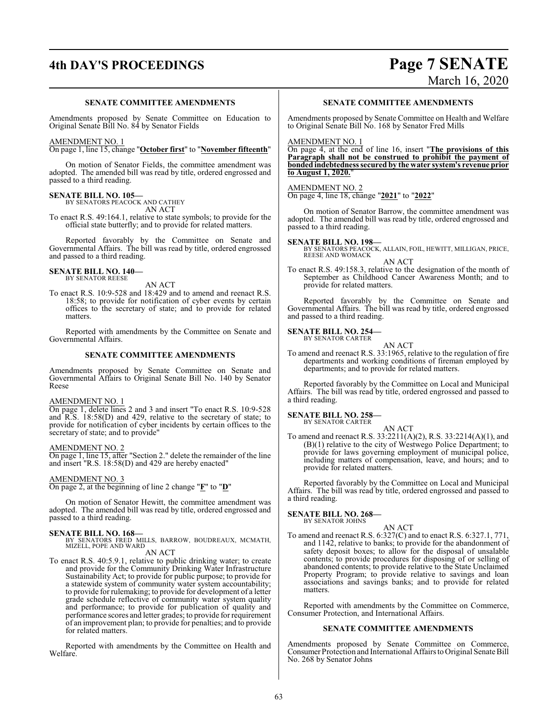## **4th DAY'S PROCEEDINGS Page 7 SENATE**

# March 16, 2020

### **SENATE COMMITTEE AMENDMENTS**

Amendments proposed by Senate Committee on Education to Original Senate Bill No. 84 by Senator Fields

### AMENDMENT NO. 1

On page 1, line 15, change "**October first**" to "**November fifteenth**"

On motion of Senator Fields, the committee amendment was adopted. The amended bill was read by title, ordered engrossed and passed to a third reading.

### **SENATE BILL NO. 105—** BY SENATORS PEACOCK AND CATHEY

AN ACT

To enact R.S. 49:164.1, relative to state symbols; to provide for the official state butterfly; and to provide for related matters.

Reported favorably by the Committee on Senate and Governmental Affairs. The bill was read by title, ordered engrossed and passed to a third reading.

#### **SENATE BILL NO. 140—** BY SENATOR REESE

AN ACT

To enact R.S. 10:9-528 and 18:429 and to amend and reenact R.S. 18:58; to provide for notification of cyber events by certain offices to the secretary of state; and to provide for related matters.

Reported with amendments by the Committee on Senate and Governmental Affairs.

### **SENATE COMMITTEE AMENDMENTS**

Amendments proposed by Senate Committee on Senate and Governmental Affairs to Original Senate Bill No. 140 by Senator Reese

### AMENDMENT NO. 1

On page 1, delete lines 2 and 3 and insert "To enact R.S. 10:9-528 and R.S. 18:58(D) and 429, relative to the secretary of state; to provide for notification of cyber incidents by certain offices to the secretary of state; and to provide"

### AMENDMENT NO. 2

On page 1, line 15, after "Section 2." delete the remainder of the line and insert  $"R.S. 18:58(D)$  and 429 are hereby enacted"

### AMENDMENT NO. 3

On page 2, at the beginning of line 2 change "**F**" to "**D**"

On motion of Senator Hewitt, the committee amendment was adopted. The amended bill was read by title, ordered engrossed and passed to a third reading.

**SENATE BILL NO. 168—**<br>BY SENATORS FRED MILLS, BARROW, BOUDREAUX, MCMATH,<br>MIZELL, POPE AND WARD

AN ACT

To enact R.S. 40:5.9.1, relative to public drinking water; to create and provide for the Community Drinking Water Infrastructure Sustainability Act; to provide for public purpose; to provide for a statewide system of community water system accountability; to provide for rulemaking; to provide for development of a letter grade schedule reflective of community water system quality and performance; to provide for publication of quality and performance scores and letter grades; to provide for requirement of an improvement plan; to provide for penalties; and to provide for related matters.

Reported with amendments by the Committee on Health and Welfare.

### **SENATE COMMITTEE AMENDMENTS**

Amendments proposed by Senate Committee on Health and Welfare to Original Senate Bill No. 168 by Senator Fred Mills

### AMENDMENT NO. 1

On page 4, at the end of line 16, insert "**The provisions of this Paragraph shall not be construed to prohibit the payment of bonded indebtedness secured by the water system's revenue prior to August 1, 2020.**"

### AMENDMENT NO. 2

On page 4, line 18, change "**2021**" to "**2022**"

On motion of Senator Barrow, the committee amendment was adopted. The amended bill was read by title, ordered engrossed and passed to a third reading.

**SENATE BILL NO. 198—** BY SENATORS PEACOCK, ALLAIN, FOIL, HEWITT, MILLIGAN, PRICE, REESE AND WOMACK

AN ACT To enact R.S. 49:158.3, relative to the designation of the month of September as Childhood Cancer Awareness Month; and to provide for related matters.

Reported favorably by the Committee on Senate and Governmental Affairs. The bill was read by title, ordered engrossed and passed to a third reading.

### **SENATE BILL NO. 254—** BY SENATOR CARTER

AN ACT

To amend and reenact R.S. 33:1965, relative to the regulation of fire departments and working conditions of fireman employed by departments; and to provide for related matters.

Reported favorably by the Committee on Local and Municipal Affairs. The bill was read by title, ordered engrossed and passed to a third reading.

### **SENATE BILL NO. 258—**

BY SENATOR CARTER

AN ACT To amend and reenact R.S. 33:2211(A)(2), R.S. 33:2214(A)(1), and  $(B)(1)$  relative to the city of Westwego Police Department; to provide for laws governing employment of municipal police, including matters of compensation, leave, and hours; and to provide for related matters.

Reported favorably by the Committee on Local and Municipal Affairs. The bill was read by title, ordered engrossed and passed to a third reading.

#### **SENATE BILL NO. 268—** BY SENATOR JOHNS

### AN ACT

To amend and reenact R.S. 6:327(C) and to enact R.S. 6:327.1, 771, and 1142, relative to banks; to provide for the abandonment of safety deposit boxes; to allow for the disposal of unsalable contents; to provide procedures for disposing of or selling of abandoned contents; to provide relative to the State Unclaimed Property Program; to provide relative to savings and loan associations and savings banks; and to provide for related matters.

Reported with amendments by the Committee on Commerce, Consumer Protection, and International Affairs.

### **SENATE COMMITTEE AMENDMENTS**

Amendments proposed by Senate Committee on Commerce, Consumer Protection and International Affairs to Original Senate Bill No. 268 by Senator Johns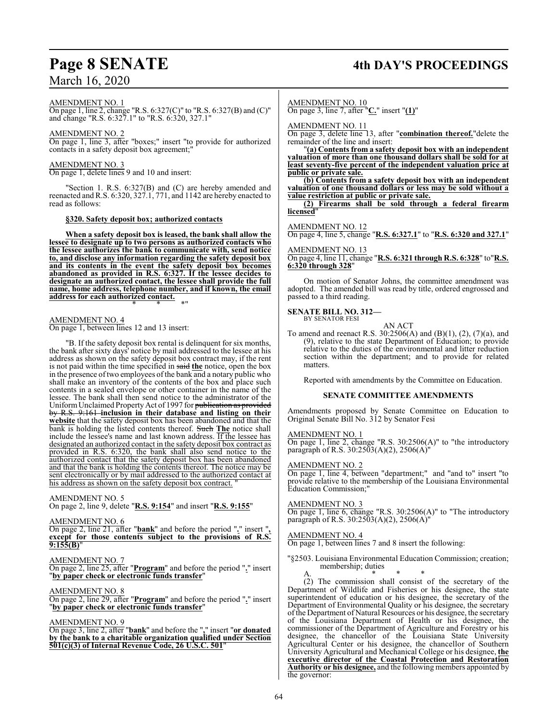## **Page 8 SENATE 4th DAY'S PROCEEDINGS**

AMENDMENT NO. 1

On page 1, line 2, change "R.S. 6:327(C)" to "R.S. 6:327(B) and (C)" and change "R.S. 6:327.1" to "R.S. 6:320, 327.1"

AMENDMENT NO. 2

On page 1, line 3, after "boxes;" insert "to provide for authorized contacts in a safety deposit box agreement;"

AMENDMENT NO. 3

On page 1, delete lines 9 and 10 and insert:

"Section 1. R.S. 6:327(B) and (C) are hereby amended and reenacted and R.S.  $6:320, 327.1, 771$ , and  $1142$  are hereby enacted to read as follows:

### **§320. Safety deposit box; authorized contacts**

**When a safety deposit box is leased, the bank shall allow the lessee to designate up to two persons as authorized contacts who the lessee authorizes the bank to communicate with, send notice to, and disclose any information regarding the safety deposit box and its contents in the event the safety deposit box becomes abandoned as provided in R.S. 6:327. If the lessee decides to designate an authorized contact, the lessee shall provide the full name, home address, telephone number, and if known, the email address for each authorized contact.**

\* \* \*"

### AMENDMENT NO. 4

On page 1, between lines 12 and 13 insert:

"B. If the safety deposit box rental is delinquent for six months, the bank after sixty days' notice by mail addressed to the lessee at his address as shown on the safety deposit box contract may, if the rent is not paid within the time specified in said **the** notice, open the box in the presence of two employees of the bank and a notary public who shall make an inventory of the contents of the box and place such contents in a sealed envelope or other container in the name of the lessee. The bank shall then send notice to the administrator of the Uniform Unclaimed Property Act of 1997 for publication as provided by R.S. 9:161 **inclusion in their database and listing on their website** that the safety deposit box has been abandoned and that the bank is holding the listed contents thereof. Such **The** notice shall include the lessee's name and last known address. If the lessee has designated an authorized contact in the safety deposit box contract as provided in R.S. 6:320, the bank shall also send notice to the authorized contact that the safety deposit box has been abandoned and that the bank is holding the contents thereof. The notice may be sent electronically or by mail addressed to the authorized contact at his address as shown on the safety deposit box contract.

### AMENDMENT NO. 5

On page 2, line 9, delete "**R.S. 9:154**" and insert "**R.S. 9:155**"

### AMENDMENT NO. 6

On page 2, line 21, after "**bank**" and before the period "**.**" insert "**, except for those contents subject to the provisions of R.S. 9:155(B)**"

AMENDMENT NO. 7

On page 2, line 25, after "**Program**" and before the period "**.**" insert "**by paper check or electronic funds transfer**"

AMENDMENT NO. 8

On page 2, line 29, after "**Program**" and before the period "**.**" insert "**by paper check or electronic funds transfer**"

### AMENDMENT NO. 9

On page 3, line 2, after "**bank**" and before the "**,**" insert "**or donated by the bank to a charitable organization qualified under Section 501(c)(3) of Internal Revenue Code, 26 U.S.C. 501**"

### AMENDMENT NO. 10

On page 3, line 7, after "**C.**" insert "**(1)**"

AMENDMENT NO. 11

On page 3, delete line 13, after "**combination thereof.**"delete the remainder of the line and insert:

"**(a) Contents from a safety deposit box with an independent valuation of more than one thousand dollars shall be sold for at least seventy-five percent of the independent valuation price at public or private sale.**

**(b) Contents from a safety deposit box with an independent valuation of one thousand dollars or less may be sold without a value restriction at public or private sale.**

**(2) Firearms shall be sold through a federal firearm licensed**"

### AMENDMENT NO. 12

On page 4, line 5, change "**R.S. 6:327.1**" to "**R.S. 6:320 and 327.1**"

### AMENDMENT NO. 13

On page 4, line 11, change "**R.S. 6:321 through R.S. 6:328**" to"**R.S. 6:320 through 328**"

On motion of Senator Johns, the committee amendment was adopted. The amended bill was read by title, ordered engrossed and passed to a third reading.

#### **SENATE BILL NO. 312—** BY SENATOR FESI

AN ACT To amend and reenact R.S. 30:2506(A) and (B)(1), (2), (7)(a), and (9), relative to the state Department of Education; to provide relative to the duties of the environmental and litter reduction section within the department; and to provide for related matters.

Reported with amendments by the Committee on Education.

### **SENATE COMMITTEE AMENDMENTS**

Amendments proposed by Senate Committee on Education to Original Senate Bill No. 312 by Senator Fesi

### AMENDMENT NO. 1

On page 1, line 2, change "R.S. 30:2506(A)" to "the introductory paragraph of R.S. 30:2503(A)(2), 2506(A)"

### AMENDMENT NO. 2

On page 1, line 4, between "department;" and "and to" insert "to provide relative to the membership of the Louisiana Environmental Education Commission;"

### AMENDMENT NO. 3

On page 1, line 6, change "R.S. 30:2506(A)" to "The introductory paragraph of R.S. 30:2503(A)(2), 2506(A)"

### AMENDMENT NO. 4

On page 1, between lines 7 and 8 insert the following:

"§2503. Louisiana Environmental Education Commission; creation; membership; duties

A. \* \* \* (2) The commission shall consist of the secretary of the Department of Wildlife and Fisheries or his designee, the state superintendent of education or his designee, the secretary of the Department of Environmental Quality or his designee, the secretary of the Department of Natural Resources or his designee, the secretary of the Louisiana Department of Health or his designee, the commissioner of the Department of Agriculture and Forestry or his designee, the chancellor of the Louisiana State University Agricultural Center or his designee, the chancellor of Southern University Agricultural and Mechanical College or his designee, **the executive director of the Coastal Protection and Restoration Authority or his designee,** and the following members appointed by the governor: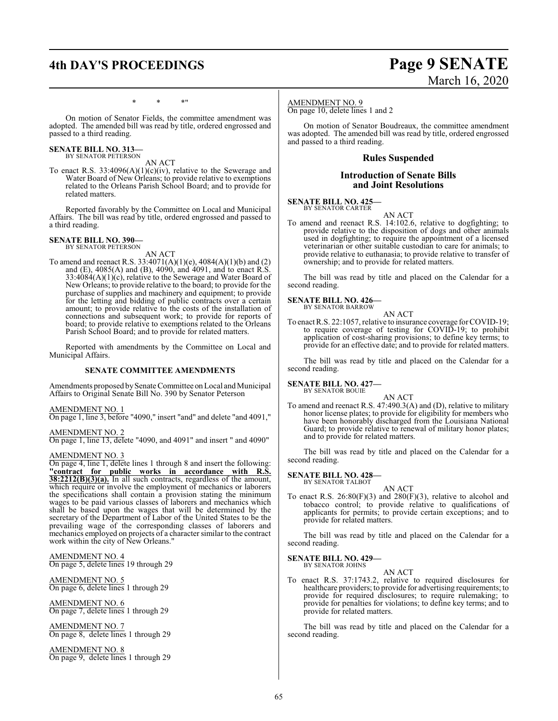### **4th DAY'S PROCEEDINGS Page 9 SENATE**

# March 16, 2020

\* \* \*"

On motion of Senator Fields, the committee amendment was adopted. The amended bill was read by title, ordered engrossed and passed to a third reading.

## **SENATE BILL NO. 313—** BY SENATOR PETERSON

AN ACT

To enact R.S. 33:4096(A)(1)(c)(iv), relative to the Sewerage and Water Board of New Orleans; to provide relative to exemptions related to the Orleans Parish School Board; and to provide for related matters.

Reported favorably by the Committee on Local and Municipal Affairs. The bill was read by title, ordered engrossed and passed to a third reading.

#### **SENATE BILL NO. 390—** BY SENATOR PETERSON

AN ACT

To amend and reenact R.S. 33:4071(A)(1)(e), 4084(A)(1)(b) and (2) and (E), 4085(A) and (B), 4090, and 4091, and to enact R.S. 33:4084(A)(1)(c), relative to the Sewerage and Water Board of New Orleans; to provide relative to the board; to provide for the purchase of supplies and machinery and equipment; to provide for the letting and bidding of public contracts over a certain amount; to provide relative to the costs of the installation of connections and subsequent work; to provide for reports of board; to provide relative to exemptions related to the Orleans Parish School Board; and to provide for related matters.

Reported with amendments by the Committee on Local and Municipal Affairs.

### **SENATE COMMITTEE AMENDMENTS**

Amendments proposed by Senate Committee on Local and Municipal Affairs to Original Senate Bill No. 390 by Senator Peterson

### AMENDMENT NO. 1

On page 1, line 3, before "4090," insert "and" and delete "and 4091,"

### AMENDMENT NO. 2

On page 1, line 13, delete "4090, and 4091" and insert " and 4090"

### AMENDMENT NO. 3

On page 4, line 1, delete lines 1 through 8 and insert the following: **"contract for public works in accordance with R.S. 38:2212(B)(3)(a).** In all such contracts, regardless of the amount, which require or involve the employment of mechanics or laborers the specifications shall contain a provision stating the minimum wages to be paid various classes of laborers and mechanics which shall be based upon the wages that will be determined by the secretary of the Department of Labor of the United States to be the prevailing wage of the corresponding classes of laborers and mechanics employed on projects of a character similar to the contract work within the city of New Orleans."

### AMENDMENT NO. 4 On page 5, delete lines 19 through 29

AMENDMENT NO. 5 On page 6, delete lines 1 through 29

AMENDMENT NO. 6 On page 7, delete lines 1 through 29

### AMENDMENT NO. 7 On page 8, delete lines 1 through 29

AMENDMENT NO. 8 On page 9, delete lines 1 through 29

### AMENDMENT NO. 9

On page 10, delete lines 1 and 2

On motion of Senator Boudreaux, the committee amendment was adopted. The amended bill was read by title, ordered engrossed and passed to a third reading.

### **Rules Suspended**

### **Introduction of Senate Bills and Joint Resolutions**

### **SENATE BILL NO. 425—** BY SENATOR CARTER

AN ACT

To amend and reenact R.S. 14:102.6, relative to dogfighting; to provide relative to the disposition of dogs and other animals used in dogfighting; to require the appointment of a licensed veterinarian or other suitable custodian to care for animals; to provide relative to euthanasia; to provide relative to transfer of ownership; and to provide for related matters.

The bill was read by title and placed on the Calendar for a second reading.

#### **SENATE BILL NO. 426—** BY SENATOR BARROW

AN ACT

To enact R.S. 22:1057, relative to insurance coverage for COVID-19; to require coverage of testing for COVID-19; to prohibit application of cost-sharing provisions; to define key terms; to provide for an effective date; and to provide for related matters.

The bill was read by title and placed on the Calendar for a second reading.

### **SENATE BILL NO. 427—** BY SENATOR BOUIE

AN ACT

To amend and reenact R.S. 47:490.3(A) and (D), relative to military honor license plates; to provide for eligibility for members who have been honorably discharged from the Louisiana National Guard; to provide relative to renewal of military honor plates; and to provide for related matters.

The bill was read by title and placed on the Calendar for a second reading.

### **SENATE BILL NO. 428—**

BY SENATOR TALBOT

AN ACT To enact R.S. 26:80(F)(3) and 280(F)(3), relative to alcohol and tobacco control; to provide relative to qualifications of applicants for permits; to provide certain exceptions; and to provide for related matters.

The bill was read by title and placed on the Calendar for a second reading.

### **SENATE BILL NO. 429—**<br>BY SENATOR JOHNS

AN ACT

To enact R.S. 37:1743.2, relative to required disclosures for healthcare providers; to provide for advertising requirements; to provide for required disclosures; to require rulemaking; to provide for penalties for violations; to define key terms; and to provide for related matters.

The bill was read by title and placed on the Calendar for a second reading.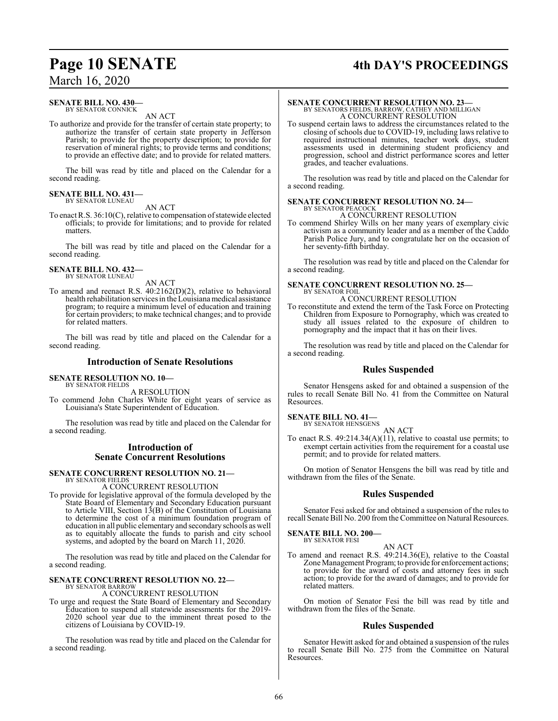## **Page 10 SENATE 4th DAY'S PROCEEDINGS**

### March 16, 2020

### **SENATE BILL NO. 430—** BY SENATOR CONNICK

AN ACT

To authorize and provide for the transfer of certain state property; to authorize the transfer of certain state property in Jefferson Parish; to provide for the property description; to provide for reservation of mineral rights; to provide terms and conditions; to provide an effective date; and to provide for related matters.

The bill was read by title and placed on the Calendar for a second reading.

#### **SENATE BILL NO. 431—** BY SENATOR LUNEAU

AN ACT

To enact R.S. 36:10(C), relative to compensation of statewide elected officials; to provide for limitations; and to provide for related matters.

The bill was read by title and placed on the Calendar for a second reading.

## **SENATE BILL NO. 432—** BY SENATOR LUNEAU

AN ACT

To amend and reenact R.S. 40:2162(D)(2), relative to behavioral health rehabilitation services in the Louisiana medical assistance program; to require a minimum level of education and training for certain providers; to make technical changes; and to provide for related matters.

The bill was read by title and placed on the Calendar for a second reading.

### **Introduction of Senate Resolutions**

#### **SENATE RESOLUTION NO. 10—** BY SENATOR FIELDS

A RESOLUTION

To commend John Charles White for eight years of service as Louisiana's State Superintendent of Education.

The resolution was read by title and placed on the Calendar for a second reading.

### **Introduction of Senate Concurrent Resolutions**

#### **SENATE CONCURRENT RESOLUTION NO. 21—** BY SENATOR FIELDS

A CONCURRENT RESOLUTION

To provide for legislative approval of the formula developed by the State Board of Elementary and Secondary Education pursuant to Article VIII, Section  $13(B)$  of the Constitution of Louisiana to determine the cost of a minimum foundation program of education in all public elementary and secondary schools as well as to equitably allocate the funds to parish and city school systems, and adopted by the board on March 11, 2020.

The resolution was read by title and placed on the Calendar for a second reading.

### **SENATE CONCURRENT RESOLUTION NO. 22—**

BY SENATOR BARROW A CONCURRENT RESOLUTION

To urge and request the State Board of Elementary and Secondary Education to suspend all statewide assessments for the 2019- 2020 school year due to the imminent threat posed to the citizens of Louisiana by COVID-19.

The resolution was read by title and placed on the Calendar for a second reading.

### **SENATE CONCURRENT RESOLUTION NO. 23—**

BY SENATORS FIELDS, BARROW, CATHEY AND MILLIGAN A CONCURRENT RESOLUTION

To suspend certain laws to address the circumstances related to the closing of schools due to COVID-19, including laws relative to required instructional minutes, teacher work days, student assessments used in determining student proficiency and progression, school and district performance scores and letter grades, and teacher evaluations.

The resolution was read by title and placed on the Calendar for a second reading.

### **SENATE CONCURRENT RESOLUTION NO. 24—** BY SENATOR PEACOCK

A CONCURRENT RESOLUTION To commend Shirley Wills on her many years of exemplary civic

activism as a community leader and as a member of the Caddo Parish Police Jury, and to congratulate her on the occasion of her seventy-fifth birthday.

The resolution was read by title and placed on the Calendar for a second reading.

### **SENATE CONCURRENT RESOLUTION NO. 25—** BY SENATOR FOIL

A CONCURRENT RESOLUTION

To reconstitute and extend the term of the Task Force on Protecting Children from Exposure to Pornography, which was created to study all issues related to the exposure of children to pornography and the impact that it has on their lives.

The resolution was read by title and placed on the Calendar for a second reading.

### **Rules Suspended**

Senator Hensgens asked for and obtained a suspension of the rules to recall Senate Bill No. 41 from the Committee on Natural Resources.

### **SENATE BILL NO. 41—**

BY SENATOR HENSGENS AN ACT

To enact R.S. 49:214.34(A)(11), relative to coastal use permits; to exempt certain activities from the requirement for a coastal use permit; and to provide for related matters.

On motion of Senator Hensgens the bill was read by title and withdrawn from the files of the Senate.

### **Rules Suspended**

Senator Fesi asked for and obtained a suspension of the rules to recall Senate Bill No. 200 fromthe Committee on Natural Resources.

### **SENATE BILL NO. 200—** BY SENATOR FESI

### AN ACT

To amend and reenact R.S. 49:214.36(E), relative to the Coastal Zone Management Program; to provide for enforcement actions; to provide for the award of costs and attorney fees in such action; to provide for the award of damages; and to provide for related matters.

On motion of Senator Fesi the bill was read by title and withdrawn from the files of the Senate.

### **Rules Suspended**

Senator Hewitt asked for and obtained a suspension of the rules to recall Senate Bill No. 275 from the Committee on Natural Resources.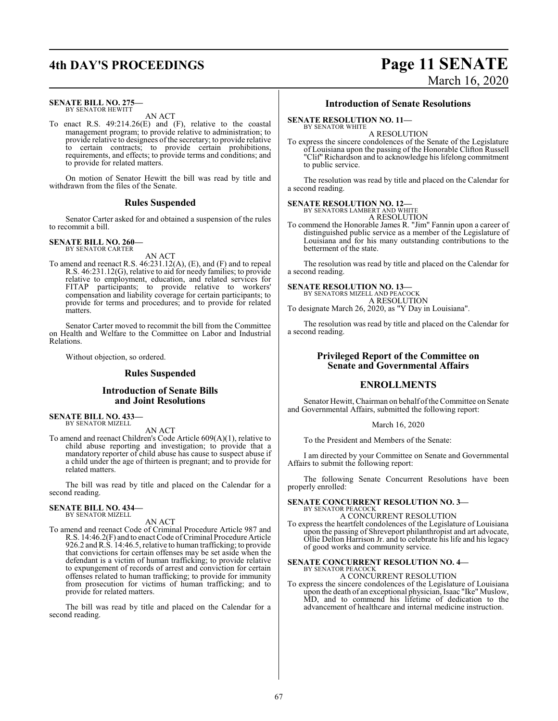## **4th DAY'S PROCEEDINGS Page 11 SENATE**

### **SENATE BILL NO. 275—** BY SENATOR HEWITT

AN ACT

To enact R.S. 49:214.26(E) and (F), relative to the coastal management program; to provide relative to administration; to provide relative to designees of the secretary; to provide relative to certain contracts; to provide certain prohibitions, requirements, and effects; to provide terms and conditions; and to provide for related matters.

On motion of Senator Hewitt the bill was read by title and withdrawn from the files of the Senate.

### **Rules Suspended**

Senator Carter asked for and obtained a suspension of the rules to recommit a bill.

#### **SENATE BILL NO. 260—** BY SENATOR CARTER

AN ACT

To amend and reenact R.S. 46:231.12(A), (E), and (F) and to repeal R.S. 46:231.12(G), relative to aid for needy families; to provide relative to employment, education, and related services for FITAP participants; to provide relative to workers' compensation and liability coverage for certain participants; to provide for terms and procedures; and to provide for related matters.

Senator Carter moved to recommit the bill from the Committee on Health and Welfare to the Committee on Labor and Industrial Relations.

Without objection, so ordered.

### **Rules Suspended**

### **Introduction of Senate Bills and Joint Resolutions**

**SENATE BILL NO. 433—** BY SENATOR MIZELL

AN ACT

To amend and reenact Children's Code Article 609(A)(1), relative to child abuse reporting and investigation; to provide that a mandatory reporter of child abuse has cause to suspect abuse if a child under the age of thirteen is pregnant; and to provide for related matters.

The bill was read by title and placed on the Calendar for a second reading.

## **SENATE BILL NO. 434—** BY SENATOR MIZELL

AN ACT

To amend and reenact Code of Criminal Procedure Article 987 and R.S. 14:46.2(F) and to enact Code of Criminal Procedure Article 926.2 andR.S. 14:46.5, relative to human trafficking; to provide that convictions for certain offenses may be set aside when the defendant is a victim of human trafficking; to provide relative to expungement of records of arrest and conviction for certain offenses related to human trafficking; to provide for immunity from prosecution for victims of human trafficking; and to provide for related matters.

The bill was read by title and placed on the Calendar for a second reading.

### **Introduction of Senate Resolutions**

**SENATE RESOLUTION NO. 11—**

BY SENATOR WHITE A RESOLUTION

To express the sincere condolences of the Senate of the Legislature of Louisiana upon the passing of the Honorable Clifton Russell "Clif" Richardson and to acknowledge his lifelong commitment to public service.

The resolution was read by title and placed on the Calendar for a second reading.

## **SENATE RESOLUTION NO. 12—**<br>BY SENATORS LAMBERT AND WHITE

A RESOLUTION

To commend the Honorable James R. "Jim" Fannin upon a career of distinguished public service as a member of the Legislature of Louisiana and for his many outstanding contributions to the betterment of the state.

The resolution was read by title and placed on the Calendar for a second reading.

### **SENATE RESOLUTION NO. 13—**

BY SENATORS MIZELL AND PEACOCK A RESOLUTION To designate March 26, 2020, as "Y Day in Louisiana".

The resolution was read by title and placed on the Calendar for a second reading.

### **Privileged Report of the Committee on Senate and Governmental Affairs**

### **ENROLLMENTS**

Senator Hewitt, Chairman on behalf of the Committee on Senate and Governmental Affairs, submitted the following report:

March 16, 2020

To the President and Members of the Senate:

I am directed by your Committee on Senate and Governmental Affairs to submit the following report:

The following Senate Concurrent Resolutions have been properly enrolled:

### **SENATE CONCURRENT RESOLUTION NO. 3—**

BY SENATOR PEACOCK A CONCURRENT RESOLUTION

To express the heartfelt condolences of the Legislature of Louisiana upon the passing of Shreveport philanthropist and art advocate, Ollie Delton Harrison Jr. and to celebrate his life and his legacy of good works and community service.

### **SENATE CONCURRENT RESOLUTION NO. 4—** BY SENATOR PEACOCK

A CONCURRENT RESOLUTION

To express the sincere condolences of the Legislature of Louisiana upon the death of an exceptional physician, Isaac "Ike" Muslow, MD, and to commend his lifetime of dedication to the advancement of healthcare and internal medicine instruction.

# March 16, 2020